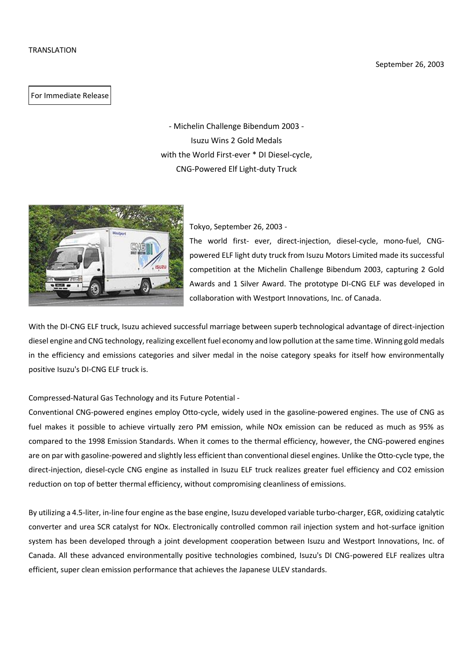For Immediate Release

- Michelin Challenge Bibendum 2003 - Isuzu Wins 2 Gold Medals with the World First-ever \* DI Diesel-cycle, CNG-Powered Elf Light-duty Truck



Tokyo, September 26, 2003 -

The world first- ever, direct-injection, diesel-cycle, mono-fuel, CNGpowered ELF light duty truck from Isuzu Motors Limited made its successful competition at the Michelin Challenge Bibendum 2003, capturing 2 Gold Awards and 1 Silver Award. The prototype DI-CNG ELF was developed in collaboration with Westport Innovations, Inc. of Canada.

With the DI-CNG ELF truck, Isuzu achieved successful marriage between superb technological advantage of direct-injection diesel engine and CNG technology, realizing excellent fuel economy and low pollution at the same time. Winning gold medals in the efficiency and emissions categories and silver medal in the noise category speaks for itself how environmentally positive Isuzu's DI-CNG ELF truck is.

# Compressed-Natural Gas Technology and its Future Potential -

Conventional CNG-powered engines employ Otto-cycle, widely used in the gasoline-powered engines. The use of CNG as fuel makes it possible to achieve virtually zero PM emission, while NOx emission can be reduced as much as 95% as compared to the 1998 Emission Standards. When it comes to the thermal efficiency, however, the CNG-powered engines are on par with gasoline-powered and slightly less efficient than conventional diesel engines. Unlike the Otto-cycle type, the direct-injection, diesel-cycle CNG engine as installed in Isuzu ELF truck realizes greater fuel efficiency and CO2 emission reduction on top of better thermal efficiency, without compromising cleanliness of emissions.

By utilizing a 4.5-liter, in-line four engine as the base engine, Isuzu developed variable turbo-charger, EGR, oxidizing catalytic converter and urea SCR catalyst for NOx. Electronically controlled common rail injection system and hot-surface ignition system has been developed through a joint development cooperation between Isuzu and Westport Innovations, Inc. of Canada. All these advanced environmentally positive technologies combined, Isuzu's DI CNG-powered ELF realizes ultra efficient, super clean emission performance that achieves the Japanese ULEV standards.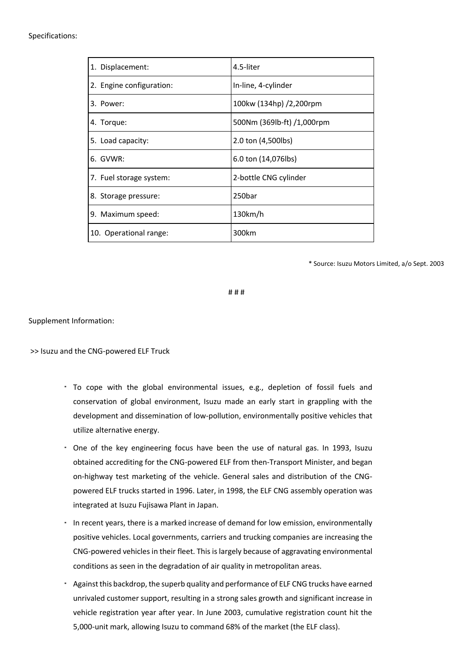# Specifications:

| 1. Displacement:         | 4.5-liter                  |
|--------------------------|----------------------------|
| 2. Engine configuration: | In-line, 4-cylinder        |
| 3. Power:                | 100kw (134hp) /2,200rpm    |
| 4. Torque:               | 500Nm (369lb-ft) /1,000rpm |
| 5. Load capacity:        | 2.0 ton (4,500lbs)         |
| 6. GVWR:                 | 6.0 ton (14,076lbs)        |
| 7. Fuel storage system:  | 2-bottle CNG cylinder      |
| 8. Storage pressure:     | 250bar                     |
| 9. Maximum speed:        | 130km/h                    |
| 10. Operational range:   | 300km                      |

\* Source: Isuzu Motors Limited, a/o Sept. 2003

# # #

Supplement Information:

>> Isuzu and the CNG-powered ELF Truck

- To cope with the global environmental issues, e.g., depletion of fossil fuels and conservation of global environment, Isuzu made an early start in grappling with the development and dissemination of low-pollution, environmentally positive vehicles that utilize alternative energy.
- One of the key engineering focus have been the use of natural gas. In 1993, Isuzu obtained accrediting for the CNG-powered ELF from then-Transport Minister, and began on-highway test marketing of the vehicle. General sales and distribution of the CNGpowered ELF trucks started in 1996. Later, in 1998, the ELF CNG assembly operation was integrated at Isuzu Fujisawa Plant in Japan.
- In recent years, there is a marked increase of demand for low emission, environmentally positive vehicles. Local governments, carriers and trucking companies are increasing the CNG-powered vehicles in their fleet. This is largely because of aggravating environmental conditions as seen in the degradation of air quality in metropolitan areas.
- Against this backdrop, the superb quality and performance of ELF CNG trucks have earned unrivaled customer support, resulting in a strong sales growth and significant increase in vehicle registration year after year. In June 2003, cumulative registration count hit the 5,000-unit mark, allowing Isuzu to command 68% of the market (the ELF class).